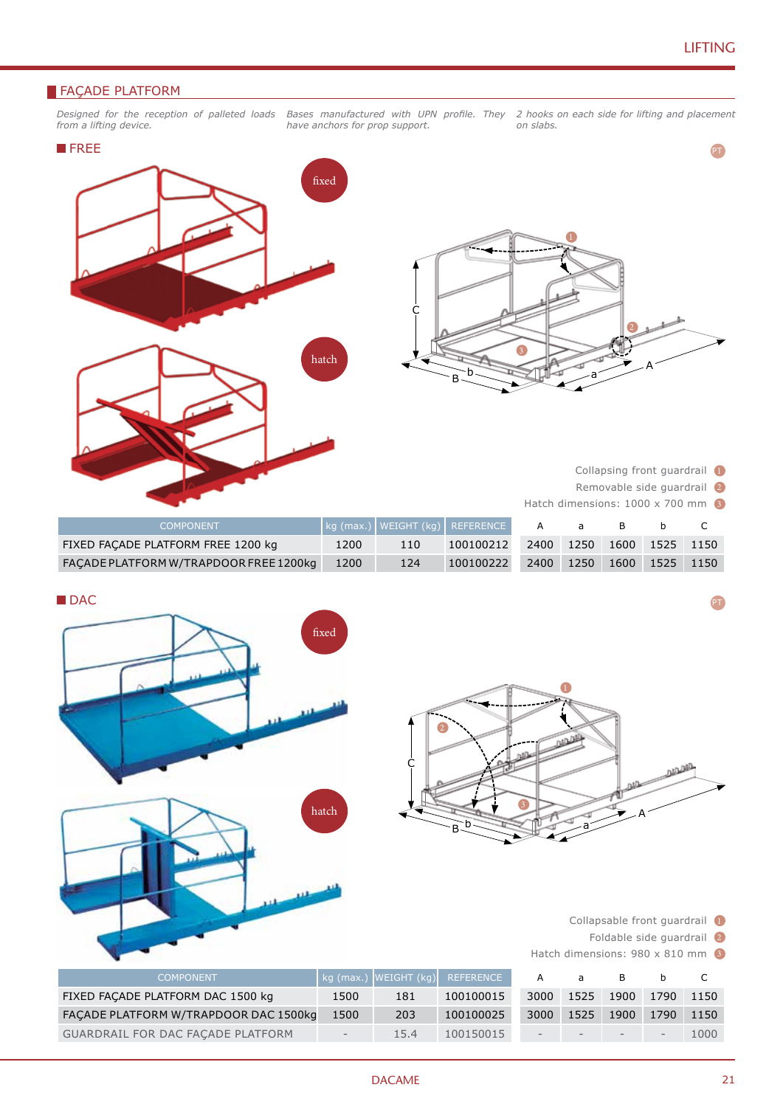PT

### **FAÇADE PLATFORM**

*Designed for the reception of palleted loads from a lifting device.*

*have anchors for prop support.*

*Bases manufactured with UPN profile. They 2 hooks on each side for lifting and placement on slabs.*





Collapsing front guardrail 1

Removable side guardrail 2

Hatch dimensions: 1000 x 700 mm

| <b>COMPONENT</b>                       |      |     | kg (max.)   WEIGHT (kg)   REFERENCE |      |           |      |           |  |
|----------------------------------------|------|-----|-------------------------------------|------|-----------|------|-----------|--|
| FIXED FACADE PLATFORM FREE 1200 kg     | 1200 | 110 | 100100212                           |      | 2400 1250 | 1600 | 1525 1150 |  |
| FACADE PLATFORM W/TRAPDOOR FREE 1200kg | 1200 | 124 | 100100222                           | 2400 | 1250      | 1600 | 1525 1150 |  |

| ۰. | ۰.<br>v |
|----|---------|



GUARDRAIL FOR DAC FAÇADE PLATFORM | - 15.4 100150015

1000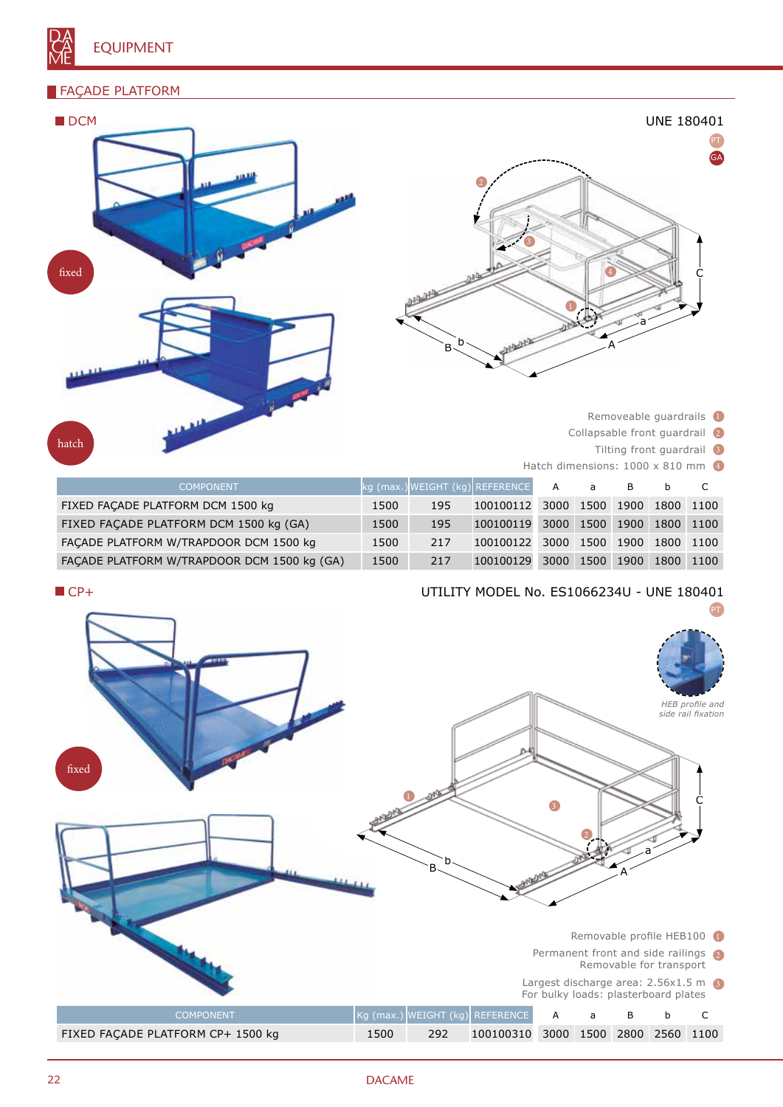### FAÇADE PLATFORM

hat



- 
- Collapsable front guardrail 2
- Tilting front guardrail 3

|                                        | Removeable quardrails 1 |                               |                                |                                 |           |      |           |      |
|----------------------------------------|-------------------------|-------------------------------|--------------------------------|---------------------------------|-----------|------|-----------|------|
| <b>NAME</b>                            |                         | Collapsable front quardrail 2 |                                |                                 |           |      |           |      |
| ıatch<br>Tilting front guardrail       |                         |                               |                                |                                 |           |      |           |      |
|                                        |                         |                               |                                | Hatch dimensions: 1000 x 810 mm |           |      |           |      |
| <b>COMPONENT</b>                       |                         |                               | kg (max.)WEIGHT (kg) REFERENCE | $\mathsf{A}$                    | a         | B    |           |      |
| FIXED FACADE PLATFORM DCM 1500 kg      | 1500                    | 195                           | 100100112                      | 3000                            | 1500 1900 |      | 1800 1100 |      |
| FIXED FACADE PLATFORM DCM 1500 kg (GA) | 1500                    | 195                           | 100100119                      | 3000                            | 1500      | 1900 | 1800      | 1100 |
| FACADE PLATFORM W/TRAPDOOR DCM 1500 kg | 1500                    | 217                           | 100100122                      | 3000                            | 1500      | 1900 | 1800      | 1100 |

FAÇADE PLATFORM W/TRAPDOOR DCM 1500 kg (GA) 1500 217

## UTILITY MODEL No. ES1066234U - UNE 180401

3000 1500 1900 1800 1100



#### 22 DACAME